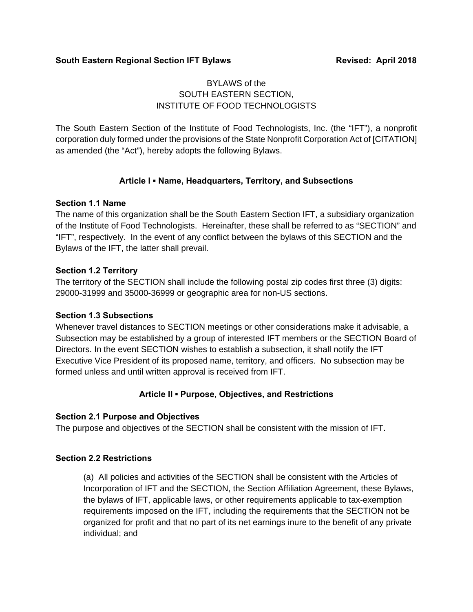#### **South Eastern Regional Section IFT Bylaws Medicing Section 18 Revised: April 2018**

## BYLAWS of the SOUTH EASTERN SECTION, INSTITUTE OF FOOD TECHNOLOGISTS

The South Eastern Section of the Institute of Food Technologists, Inc. (the "IFT"), a nonprofit corporation duly formed under the provisions of the State Nonprofit Corporation Act of [CITATION] as amended (the "Act"), hereby adopts the following Bylaws.

## **Article I ▪ Name, Headquarters, Territory, and Subsections**

### **Section 1.1 Name**

The name of this organization shall be the South Eastern Section IFT, a subsidiary organization of the Institute of Food Technologists. Hereinafter, these shall be referred to as "SECTION" and "IFT", respectively. In the event of any conflict between the bylaws of this SECTION and the Bylaws of the IFT, the latter shall prevail.

### **Section 1.2 Territory**

The territory of the SECTION shall include the following postal zip codes first three (3) digits: 29000-31999 and 35000-36999 or geographic area for non-US sections.

#### **Section 1.3 Subsections**

Whenever travel distances to SECTION meetings or other considerations make it advisable, a Subsection may be established by a group of interested IFT members or the SECTION Board of Directors. In the event SECTION wishes to establish a subsection, it shall notify the IFT Executive Vice President of its proposed name, territory, and officers. No subsection may be formed unless and until written approval is received from IFT.

## **Article II ▪ Purpose, Objectives, and Restrictions**

## **Section 2.1 Purpose and Objectives**

The purpose and objectives of the SECTION shall be consistent with the mission of IFT.

## **Section 2.2 Restrictions**

(a) All policies and activities of the SECTION shall be consistent with the Articles of Incorporation of IFT and the SECTION, the Section Affiliation Agreement, these Bylaws, the bylaws of IFT, applicable laws, or other requirements applicable to tax-exemption requirements imposed on the IFT, including the requirements that the SECTION not be organized for profit and that no part of its net earnings inure to the benefit of any private individual; and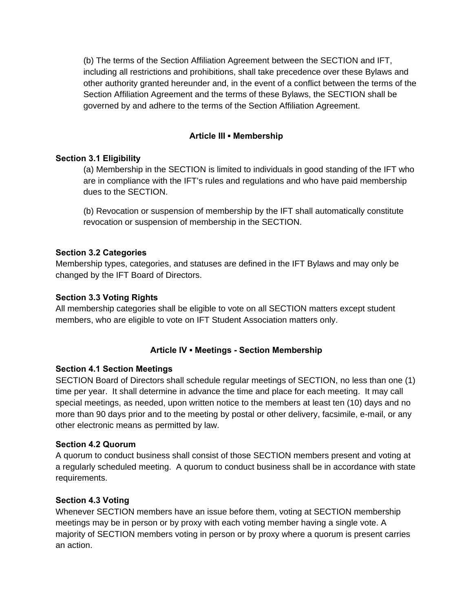(b) The terms of the Section Affiliation Agreement between the SECTION and IFT, including all restrictions and prohibitions, shall take precedence over these Bylaws and other authority granted hereunder and, in the event of a conflict between the terms of the Section Affiliation Agreement and the terms of these Bylaws, the SECTION shall be governed by and adhere to the terms of the Section Affiliation Agreement.

## **Article III ▪ Membership**

## **Section 3.1 Eligibility**

(a) Membership in the SECTION is limited to individuals in good standing of the IFT who are in compliance with the IFT's rules and regulations and who have paid membership dues to the SECTION.

(b) Revocation or suspension of membership by the IFT shall automatically constitute revocation or suspension of membership in the SECTION.

## **Section 3.2 Categories**

Membership types, categories, and statuses are defined in the IFT Bylaws and may only be changed by the IFT Board of Directors.

## **Section 3.3 Voting Rights**

All membership categories shall be eligible to vote on all SECTION matters except student members, who are eligible to vote on IFT Student Association matters only.

## **Article IV ▪ Meetings - Section Membership**

# **Section 4.1 Section Meetings**

SECTION Board of Directors shall schedule regular meetings of SECTION, no less than one (1) time per year. It shall determine in advance the time and place for each meeting. It may call special meetings, as needed, upon written notice to the members at least ten (10) days and no more than 90 days prior and to the meeting by postal or other delivery, facsimile, e-mail, or any other electronic means as permitted by law.

## **Section 4.2 Quorum**

A quorum to conduct business shall consist of those SECTION members present and voting at a regularly scheduled meeting. A quorum to conduct business shall be in accordance with state requirements.

## **Section 4.3 Voting**

Whenever SECTION members have an issue before them, voting at SECTION membership meetings may be in person or by proxy with each voting member having a single vote. A majority of SECTION members voting in person or by proxy where a quorum is present carries an action.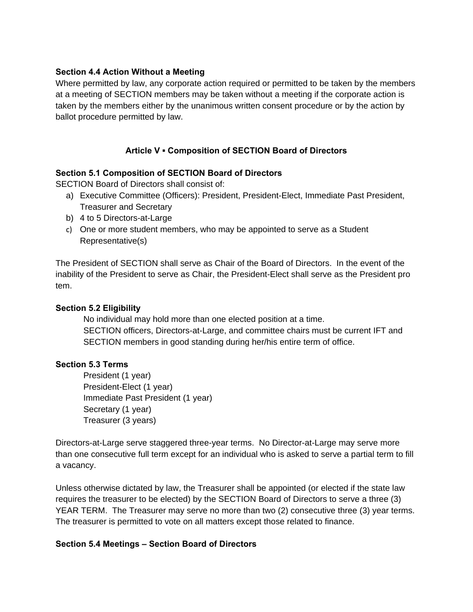### **Section 4.4 Action Without a Meeting**

Where permitted by law, any corporate action required or permitted to be taken by the members at a meeting of SECTION members may be taken without a meeting if the corporate action is taken by the members either by the unanimous written consent procedure or by the action by ballot procedure permitted by law.

## **Article V ▪ Composition of SECTION Board of Directors**

### **Section 5.1 Composition of SECTION Board of Directors**

SECTION Board of Directors shall consist of:

- a) Executive Committee (Officers): President, President-Elect, Immediate Past President, Treasurer and Secretary
- b) 4 to 5 Directors-at-Large
- c) One or more student members, who may be appointed to serve as a Student Representative(s)

The President of SECTION shall serve as Chair of the Board of Directors. In the event of the inability of the President to serve as Chair, the President-Elect shall serve as the President pro tem.

#### **Section 5.2 Eligibility**

 No individual may hold more than one elected position at a time. SECTION officers, Directors-at-Large, and committee chairs must be current IFT and SECTION members in good standing during her/his entire term of office.

#### **Section 5.3 Terms**

 President (1 year) President-Elect (1 year) Immediate Past President (1 year) Secretary (1 year) Treasurer (3 years)

Directors-at-Large serve staggered three-year terms. No Director-at-Large may serve more than one consecutive full term except for an individual who is asked to serve a partial term to fill a vacancy.

Unless otherwise dictated by law, the Treasurer shall be appointed (or elected if the state law requires the treasurer to be elected) by the SECTION Board of Directors to serve a three (3) YEAR TERM. The Treasurer may serve no more than two (2) consecutive three (3) year terms. The treasurer is permitted to vote on all matters except those related to finance.

#### **Section 5.4 Meetings – Section Board of Directors**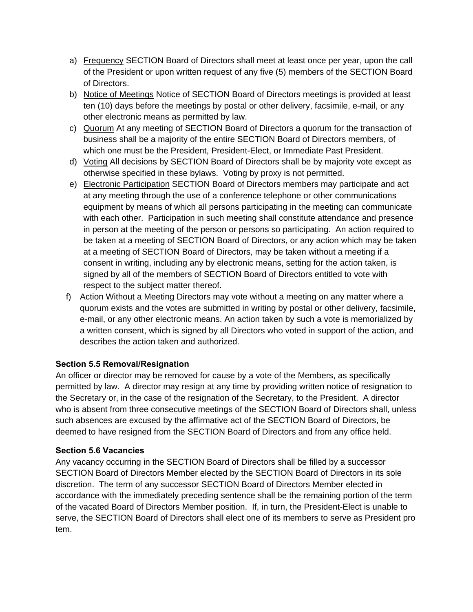- a) Frequency SECTION Board of Directors shall meet at least once per year, upon the call of the President or upon written request of any five (5) members of the SECTION Board of Directors.
- b) Notice of Meetings Notice of SECTION Board of Directors meetings is provided at least ten (10) days before the meetings by postal or other delivery, facsimile, e-mail, or any other electronic means as permitted by law.
- c) Quorum At any meeting of SECTION Board of Directors a quorum for the transaction of business shall be a majority of the entire SECTION Board of Directors members, of which one must be the President, President-Elect, or Immediate Past President.
- d) Voting All decisions by SECTION Board of Directors shall be by majority vote except as otherwise specified in these bylaws. Voting by proxy is not permitted.
- e) Electronic Participation SECTION Board of Directors members may participate and act at any meeting through the use of a conference telephone or other communications equipment by means of which all persons participating in the meeting can communicate with each other. Participation in such meeting shall constitute attendance and presence in person at the meeting of the person or persons so participating. An action required to be taken at a meeting of SECTION Board of Directors, or any action which may be taken at a meeting of SECTION Board of Directors, may be taken without a meeting if a consent in writing, including any by electronic means, setting for the action taken, is signed by all of the members of SECTION Board of Directors entitled to vote with respect to the subject matter thereof.
- f) Action Without a Meeting Directors may vote without a meeting on any matter where a quorum exists and the votes are submitted in writing by postal or other delivery, facsimile, e-mail, or any other electronic means. An action taken by such a vote is memorialized by a written consent, which is signed by all Directors who voted in support of the action, and describes the action taken and authorized.

## **Section 5.5 Removal/Resignation**

An officer or director may be removed for cause by a vote of the Members, as specifically permitted by law. A director may resign at any time by providing written notice of resignation to the Secretary or, in the case of the resignation of the Secretary, to the President. A director who is absent from three consecutive meetings of the SECTION Board of Directors shall, unless such absences are excused by the affirmative act of the SECTION Board of Directors, be deemed to have resigned from the SECTION Board of Directors and from any office held.

## **Section 5.6 Vacancies**

Any vacancy occurring in the SECTION Board of Directors shall be filled by a successor SECTION Board of Directors Member elected by the SECTION Board of Directors in its sole discretion. The term of any successor SECTION Board of Directors Member elected in accordance with the immediately preceding sentence shall be the remaining portion of the term of the vacated Board of Directors Member position. If, in turn, the President-Elect is unable to serve, the SECTION Board of Directors shall elect one of its members to serve as President pro tem.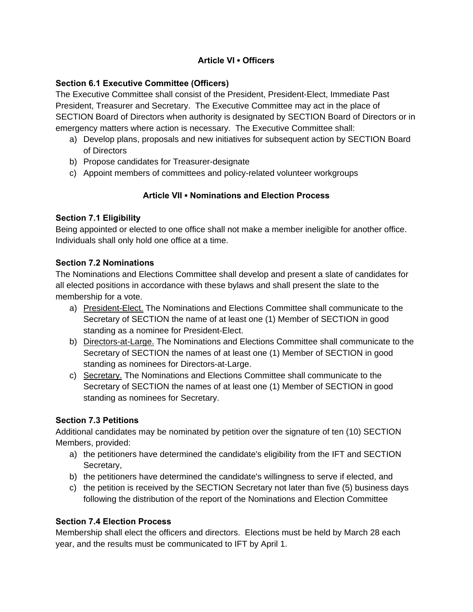## **Article VI ▪ Officers**

## **Section 6.1 Executive Committee (Officers)**

The Executive Committee shall consist of the President, President-Elect, Immediate Past President, Treasurer and Secretary. The Executive Committee may act in the place of SECTION Board of Directors when authority is designated by SECTION Board of Directors or in emergency matters where action is necessary. The Executive Committee shall:

- a) Develop plans, proposals and new initiatives for subsequent action by SECTION Board of Directors
- b) Propose candidates for Treasurer-designate
- c) Appoint members of committees and policy-related volunteer workgroups

# **Article VII ▪ Nominations and Election Process**

# **Section 7.1 Eligibility**

Being appointed or elected to one office shall not make a member ineligible for another office. Individuals shall only hold one office at a time.

## **Section 7.2 Nominations**

The Nominations and Elections Committee shall develop and present a slate of candidates for all elected positions in accordance with these bylaws and shall present the slate to the membership for a vote.

- a) President-Elect. The Nominations and Elections Committee shall communicate to the Secretary of SECTION the name of at least one (1) Member of SECTION in good standing as a nominee for President-Elect.
- b) Directors-at-Large. The Nominations and Elections Committee shall communicate to the Secretary of SECTION the names of at least one (1) Member of SECTION in good standing as nominees for Directors-at-Large.
- c) Secretary. The Nominations and Elections Committee shall communicate to the Secretary of SECTION the names of at least one (1) Member of SECTION in good standing as nominees for Secretary.

# **Section 7.3 Petitions**

Additional candidates may be nominated by petition over the signature of ten (10) SECTION Members, provided:

- a) the petitioners have determined the candidate's eligibility from the IFT and SECTION Secretary,
- b) the petitioners have determined the candidate's willingness to serve if elected, and
- c) the petition is received by the SECTION Secretary not later than five (5) business days following the distribution of the report of the Nominations and Election Committee

# **Section 7.4 Election Process**

Membership shall elect the officers and directors. Elections must be held by March 28 each year, and the results must be communicated to IFT by April 1.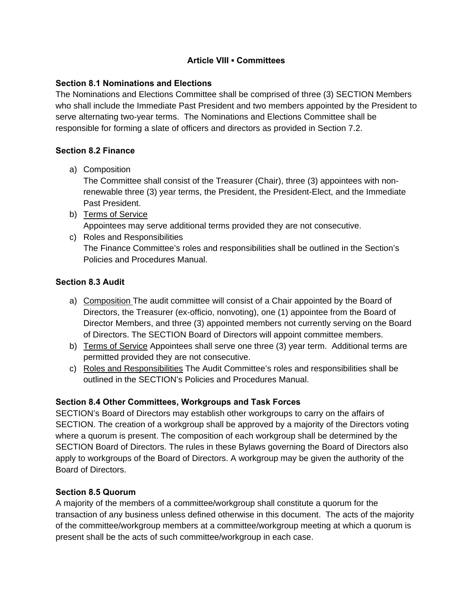### **Article VIII ▪ Committees**

### **Section 8.1 Nominations and Elections**

The Nominations and Elections Committee shall be comprised of three (3) SECTION Members who shall include the Immediate Past President and two members appointed by the President to serve alternating two-year terms. The Nominations and Elections Committee shall be responsible for forming a slate of officers and directors as provided in Section 7.2.

### **Section 8.2 Finance**

a) Composition

The Committee shall consist of the Treasurer (Chair), three (3) appointees with nonrenewable three (3) year terms, the President, the President-Elect, and the Immediate Past President.

- b) Terms of Service Appointees may serve additional terms provided they are not consecutive.
- c) Roles and Responsibilities The Finance Committee's roles and responsibilities shall be outlined in the Section's Policies and Procedures Manual.

### **Section 8.3 Audit**

- a) Composition The audit committee will consist of a Chair appointed by the Board of Directors, the Treasurer (ex-officio, nonvoting), one (1) appointee from the Board of Director Members, and three (3) appointed members not currently serving on the Board of Directors. The SECTION Board of Directors will appoint committee members.
- b) Terms of Service Appointees shall serve one three (3) year term. Additional terms are permitted provided they are not consecutive.
- c) Roles and Responsibilities The Audit Committee's roles and responsibilities shall be outlined in the SECTION's Policies and Procedures Manual.

## **Section 8.4 Other Committees, Workgroups and Task Forces**

SECTION's Board of Directors may establish other workgroups to carry on the affairs of SECTION. The creation of a workgroup shall be approved by a majority of the Directors voting where a quorum is present. The composition of each workgroup shall be determined by the SECTION Board of Directors. The rules in these Bylaws governing the Board of Directors also apply to workgroups of the Board of Directors. A workgroup may be given the authority of the Board of Directors.

## **Section 8.5 Quorum**

A majority of the members of a committee/workgroup shall constitute a quorum for the transaction of any business unless defined otherwise in this document. The acts of the majority of the committee/workgroup members at a committee/workgroup meeting at which a quorum is present shall be the acts of such committee/workgroup in each case.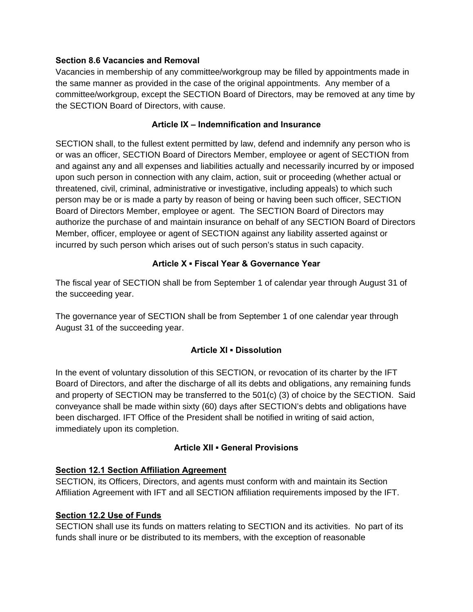### **Section 8.6 Vacancies and Removal**

Vacancies in membership of any committee/workgroup may be filled by appointments made in the same manner as provided in the case of the original appointments. Any member of a committee/workgroup, except the SECTION Board of Directors, may be removed at any time by the SECTION Board of Directors, with cause.

### **Article IX – Indemnification and Insurance**

SECTION shall, to the fullest extent permitted by law, defend and indemnify any person who is or was an officer, SECTION Board of Directors Member, employee or agent of SECTION from and against any and all expenses and liabilities actually and necessarily incurred by or imposed upon such person in connection with any claim, action, suit or proceeding (whether actual or threatened, civil, criminal, administrative or investigative, including appeals) to which such person may be or is made a party by reason of being or having been such officer, SECTION Board of Directors Member, employee or agent. The SECTION Board of Directors may authorize the purchase of and maintain insurance on behalf of any SECTION Board of Directors Member, officer, employee or agent of SECTION against any liability asserted against or incurred by such person which arises out of such person's status in such capacity.

## **Article X ▪ Fiscal Year & Governance Year**

The fiscal year of SECTION shall be from September 1 of calendar year through August 31 of the succeeding year.

The governance year of SECTION shall be from September 1 of one calendar year through August 31 of the succeeding year.

## **Article XI ▪ Dissolution**

In the event of voluntary dissolution of this SECTION, or revocation of its charter by the IFT Board of Directors, and after the discharge of all its debts and obligations, any remaining funds and property of SECTION may be transferred to the 501(c) (3) of choice by the SECTION. Said conveyance shall be made within sixty (60) days after SECTION's debts and obligations have been discharged. IFT Office of the President shall be notified in writing of said action, immediately upon its completion.

## **Article XII ▪ General Provisions**

## **Section 12.1 Section Affiliation Agreement**

SECTION, its Officers, Directors, and agents must conform with and maintain its Section Affiliation Agreement with IFT and all SECTION affiliation requirements imposed by the IFT.

#### **Section 12.2 Use of Funds**

SECTION shall use its funds on matters relating to SECTION and its activities. No part of its funds shall inure or be distributed to its members, with the exception of reasonable